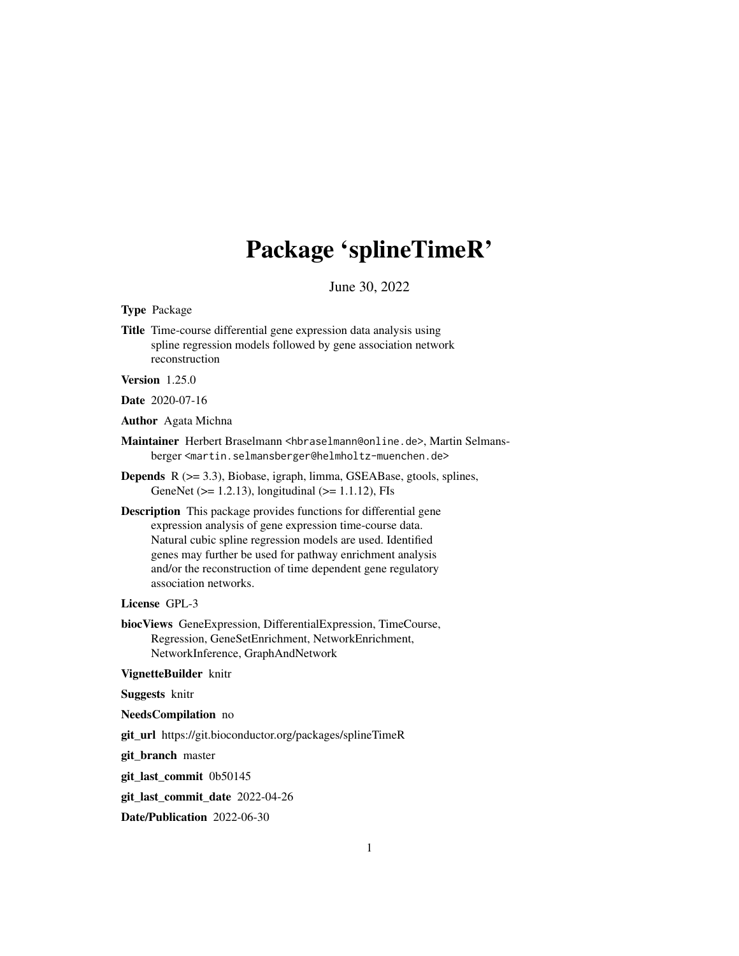# Package 'splineTimeR'

June 30, 2022

<span id="page-0-0"></span>Type Package

Title Time-course differential gene expression data analysis using spline regression models followed by gene association network reconstruction

Version 1.25.0

Date 2020-07-16

Author Agata Michna

- Maintainer Herbert Braselmann <hbraselmann@online.de>, Martin Selmansberger <martin.selmansberger@helmholtz-muenchen.de>
- Depends R (>= 3.3), Biobase, igraph, limma, GSEABase, gtools, splines, GeneNet ( $>= 1.2.13$ ), longitudinal ( $>= 1.1.12$ ), FIs
- Description This package provides functions for differential gene expression analysis of gene expression time-course data. Natural cubic spline regression models are used. Identified genes may further be used for pathway enrichment analysis and/or the reconstruction of time dependent gene regulatory association networks.

# License GPL-3

biocViews GeneExpression, DifferentialExpression, TimeCourse, Regression, GeneSetEnrichment, NetworkEnrichment, NetworkInference, GraphAndNetwork

#### VignetteBuilder knitr

Suggests knitr

#### NeedsCompilation no

git\_url https://git.bioconductor.org/packages/splineTimeR

git\_branch master

git\_last\_commit 0b50145

git\_last\_commit\_date 2022-04-26

Date/Publication 2022-06-30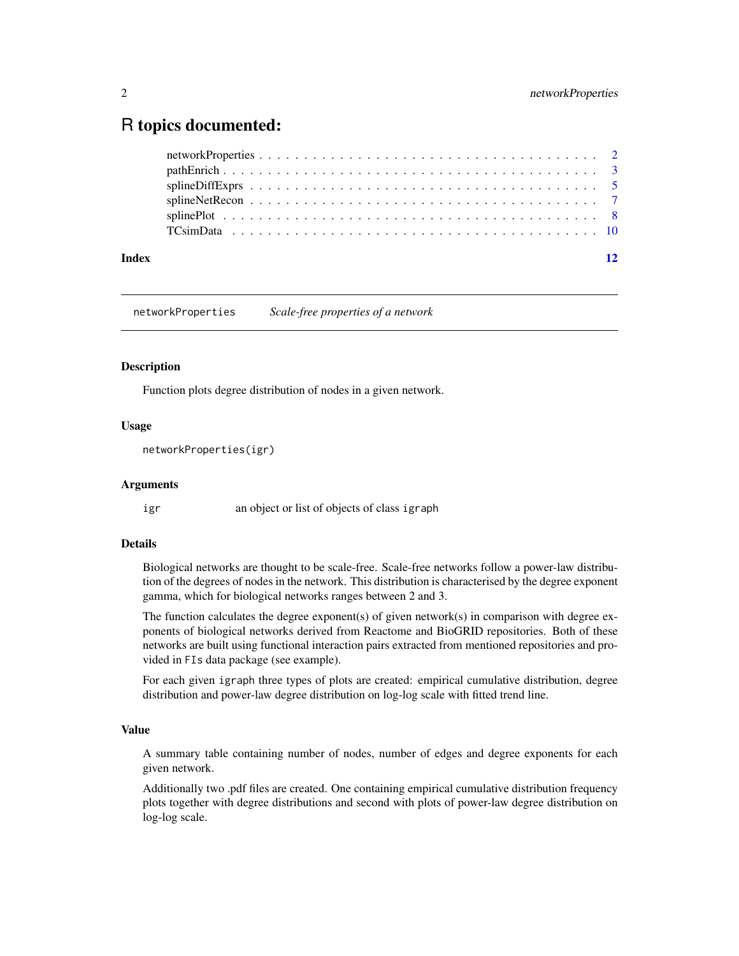# <span id="page-1-0"></span>R topics documented:

| Index | 12 |
|-------|----|
|       |    |
|       |    |
|       |    |
|       |    |
|       |    |
|       |    |

networkProperties *Scale-free properties of a network*

# Description

Function plots degree distribution of nodes in a given network.

# Usage

```
networkProperties(igr)
```
# Arguments

igr an object or list of objects of class igraph

# Details

Biological networks are thought to be scale-free. Scale-free networks follow a power-law distribution of the degrees of nodes in the network. This distribution is characterised by the degree exponent gamma, which for biological networks ranges between 2 and 3.

The function calculates the degree exponent(s) of given network(s) in comparison with degree exponents of biological networks derived from Reactome and BioGRID repositories. Both of these networks are built using functional interaction pairs extracted from mentioned repositories and provided in FIs data package (see example).

For each given igraph three types of plots are created: empirical cumulative distribution, degree distribution and power-law degree distribution on log-log scale with fitted trend line.

# Value

A summary table containing number of nodes, number of edges and degree exponents for each given network.

Additionally two .pdf files are created. One containing empirical cumulative distribution frequency plots together with degree distributions and second with plots of power-law degree distribution on log-log scale.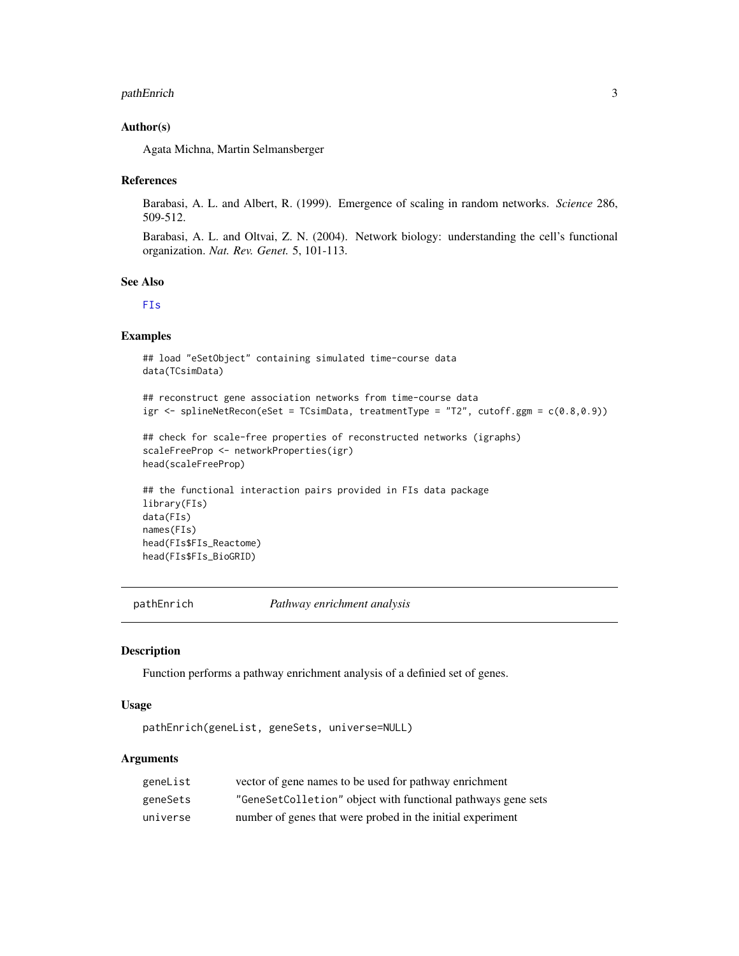## <span id="page-2-0"></span>pathEnrich 3

# Author(s)

Agata Michna, Martin Selmansberger

# References

Barabasi, A. L. and Albert, R. (1999). Emergence of scaling in random networks. *Science* 286, 509-512.

Barabasi, A. L. and Oltvai, Z. N. (2004). Network biology: understanding the cell's functional organization. *Nat. Rev. Genet.* 5, 101-113.

## See Also

[FIs](#page-0-0)

# Examples

```
## load "eSetObject" containing simulated time-course data
data(TCsimData)
```

```
## reconstruct gene association networks from time-course data
igr \leq splineNetRecon(eSet = TCsimData, treatmentType = "T2", cutoff.ggm = c(0.8,0.9))
```

```
## check for scale-free properties of reconstructed networks (igraphs)
scaleFreeProp <- networkProperties(igr)
head(scaleFreeProp)
```

```
## the functional interaction pairs provided in FIs data package
library(FIs)
data(FIs)
names(FIs)
head(FIs$FIs_Reactome)
head(FIs$FIs_BioGRID)
```
pathEnrich *Pathway enrichment analysis*

# Description

Function performs a pathway enrichment analysis of a definied set of genes.

#### Usage

```
pathEnrich(geneList, geneSets, universe=NULL)
```
# Arguments

| geneList | vector of gene names to be used for pathway enrichment       |
|----------|--------------------------------------------------------------|
| geneSets | "GeneSetColletion" object with functional pathways gene sets |
| universe | number of genes that were probed in the initial experiment   |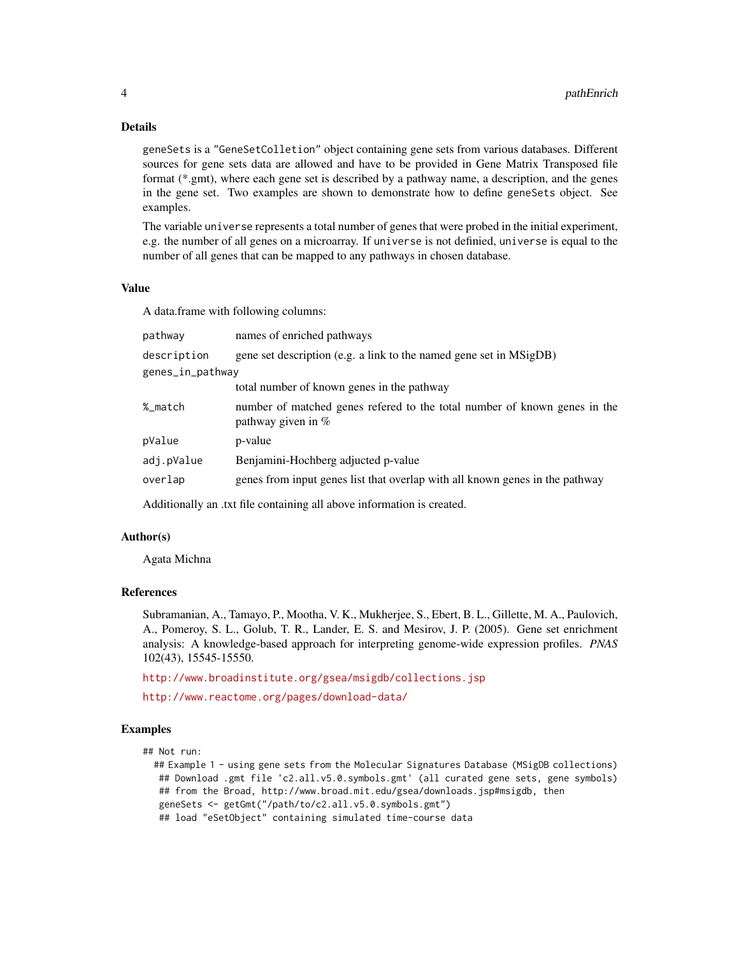# Details

geneSets is a "GeneSetColletion" object containing gene sets from various databases. Different sources for gene sets data are allowed and have to be provided in Gene Matrix Transposed file format (\*.gmt), where each gene set is described by a pathway name, a description, and the genes in the gene set. Two examples are shown to demonstrate how to define geneSets object. See examples.

The variable universe represents a total number of genes that were probed in the initial experiment, e.g. the number of all genes on a microarray. If universe is not definied, universe is equal to the number of all genes that can be mapped to any pathways in chosen database.

# Value

A data.frame with following columns:

| pathway          | names of enriched pathways                                                                         |  |
|------------------|----------------------------------------------------------------------------------------------------|--|
| description      | gene set description (e.g. a link to the named gene set in MSigDB)                                 |  |
| genes_in_pathway |                                                                                                    |  |
|                  | total number of known genes in the pathway                                                         |  |
| %_match          | number of matched genes referred to the total number of known genes in the<br>pathway given in $%$ |  |
| pValue           | p-value                                                                                            |  |
| adj.pValue       | Benjamini-Hochberg adjucted p-value                                                                |  |
| overlap          | genes from input genes list that overlap with all known genes in the pathway                       |  |
|                  |                                                                                                    |  |

Additionally an .txt file containing all above information is created.

# Author(s)

Agata Michna

# References

Subramanian, A., Tamayo, P., Mootha, V. K., Mukherjee, S., Ebert, B. L., Gillette, M. A., Paulovich, A., Pomeroy, S. L., Golub, T. R., Lander, E. S. and Mesirov, J. P. (2005). Gene set enrichment analysis: A knowledge-based approach for interpreting genome-wide expression profiles. *PNAS* 102(43), 15545-15550.

<http://www.broadinstitute.org/gsea/msigdb/collections.jsp>

<http://www.reactome.org/pages/download-data/>

#### Examples

## Not run:

```
## Example 1 - using gene sets from the Molecular Signatures Database (MSigDB collections)
 ## Download .gmt file 'c2.all.v5.0.symbols.gmt' (all curated gene sets, gene symbols)
 ## from the Broad, http://www.broad.mit.edu/gsea/downloads.jsp#msigdb, then
 geneSets <- getGmt("/path/to/c2.all.v5.0.symbols.gmt")
 ## load "eSetObject" containing simulated time-course data
```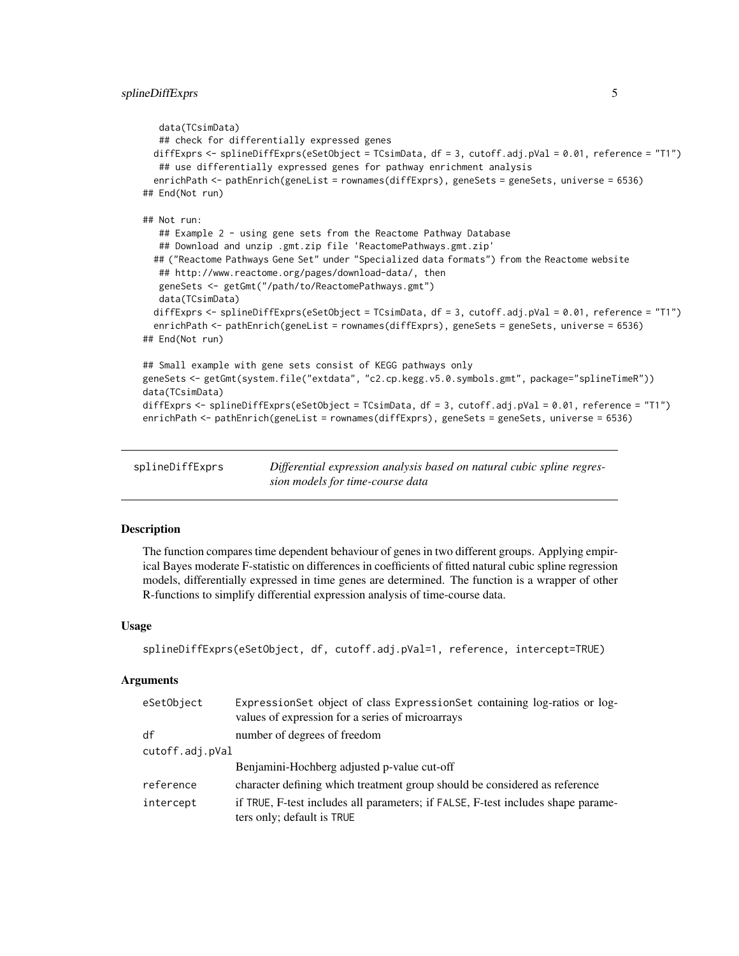```
data(TCsimData)
   ## check for differentially expressed genes
 diffExprs <- splineDiffExprs(eSetObject = TCsimData, df = 3, cutoff.adj.pVal = 0.01, reference = "T1")
  ## use differentially expressed genes for pathway enrichment analysis
 enrichPath <- pathEnrich(geneList = rownames(diffExprs), geneSets = geneSets, universe = 6536)
## End(Not run)
## Not run:
   ## Example 2 - using gene sets from the Reactome Pathway Database
   ## Download and unzip .gmt.zip file 'ReactomePathways.gmt.zip'
 ## ("Reactome Pathways Gene Set" under "Specialized data formats") from the Reactome website
  ## http://www.reactome.org/pages/download-data/, then
  geneSets <- getGmt("/path/to/ReactomePathways.gmt")
  data(TCsimData)
 diffExprs <- splineDiffExprs(eSetObject = TCsimData, df = 3, cutoff.adj.pVal = 0.01, reference = "T1")
 enrichPath <- pathEnrich(geneList = rownames(diffExprs), geneSets = geneSets, universe = 6536)
## End(Not run)
## Small example with gene sets consist of KEGG pathways only
geneSets <- getGmt(system.file("extdata", "c2.cp.kegg.v5.0.symbols.gmt", package="splineTimeR"))
data(TCsimData)
diffExprs <- splineDiffExprs(eSetObject = TCsimData, df = 3, cutoff.adj.pVal = 0.01, reference = "T1")
enrichPath <- pathEnrich(geneList = rownames(diffExprs), geneSets = geneSets, universe = 6536)
```

| splineDiffExprs | Differential expression analysis based on natural cubic spline regres- |
|-----------------|------------------------------------------------------------------------|
|                 | sion models for time-course data                                       |

# Description

The function compares time dependent behaviour of genes in two different groups. Applying empirical Bayes moderate F-statistic on differences in coefficients of fitted natural cubic spline regression models, differentially expressed in time genes are determined. The function is a wrapper of other R-functions to simplify differential expression analysis of time-course data.

# Usage

```
splineDiffExprs(eSetObject, df, cutoff.adj.pVal=1, reference, intercept=TRUE)
```
#### Arguments

| eSetObject      | ExpressionSet object of class ExpressionSet containing log-ratios or log-<br>values of expression for a series of microarrays |  |
|-----------------|-------------------------------------------------------------------------------------------------------------------------------|--|
| df              | number of degrees of freedom                                                                                                  |  |
| cutoff.adj.pVal |                                                                                                                               |  |
|                 | Benjamini-Hochberg adjusted p-value cut-off                                                                                   |  |
| reference       | character defining which treatment group should be considered as reference                                                    |  |
| intercept       | if TRUE, F-test includes all parameters; if FALSE, F-test includes shape parame-<br>ters only; default is TRUE                |  |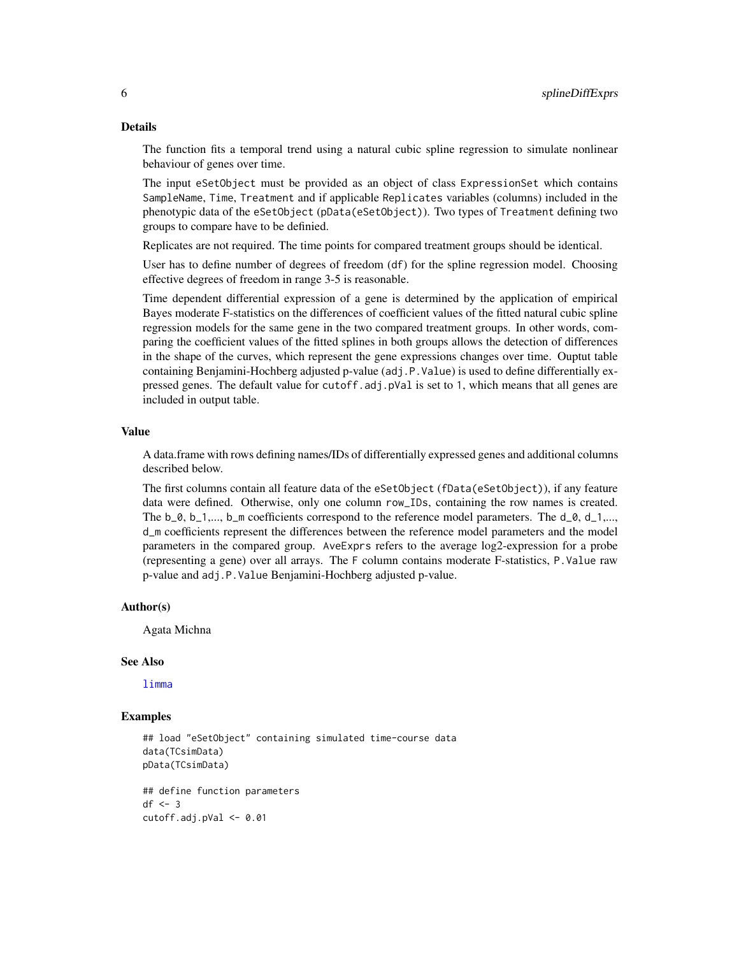# <span id="page-5-0"></span>Details

The function fits a temporal trend using a natural cubic spline regression to simulate nonlinear behaviour of genes over time.

The input eSetObject must be provided as an object of class ExpressionSet which contains SampleName, Time, Treatment and if applicable Replicates variables (columns) included in the phenotypic data of the eSetObject (pData(eSetObject)). Two types of Treatment defining two groups to compare have to be definied.

Replicates are not required. The time points for compared treatment groups should be identical.

User has to define number of degrees of freedom (df) for the spline regression model. Choosing effective degrees of freedom in range 3-5 is reasonable.

Time dependent differential expression of a gene is determined by the application of empirical Bayes moderate F-statistics on the differences of coefficient values of the fitted natural cubic spline regression models for the same gene in the two compared treatment groups. In other words, comparing the coefficient values of the fitted splines in both groups allows the detection of differences in the shape of the curves, which represent the gene expressions changes over time. Ouptut table containing Benjamini-Hochberg adjusted p-value (adj.P.Value) is used to define differentially expressed genes. The default value for cutoff.adj.pVal is set to 1, which means that all genes are included in output table.

# Value

A data.frame with rows defining names/IDs of differentially expressed genes and additional columns described below.

The first columns contain all feature data of the eSetObject (fData(eSetObject)), if any feature data were defined. Otherwise, only one column row\_IDs, containing the row names is created. The  $b_0$ ,  $b_1, \ldots, b_m$  coefficients correspond to the reference model parameters. The  $d_0$ ,  $d_1, \ldots, d_m$ d\_m coefficients represent the differences between the reference model parameters and the model parameters in the compared group. AveExprs refers to the average log2-expression for a probe (representing a gene) over all arrays. The F column contains moderate F-statistics, P.Value raw p-value and adj.P.Value Benjamini-Hochberg adjusted p-value.

# Author(s)

Agata Michna

# See Also

[limma](#page-0-0)

# Examples

```
## load "eSetObject" containing simulated time-course data
data(TCsimData)
pData(TCsimData)
## define function parameters
df \leq -3
```

```
cutoff.adj.pVal <- 0.01
```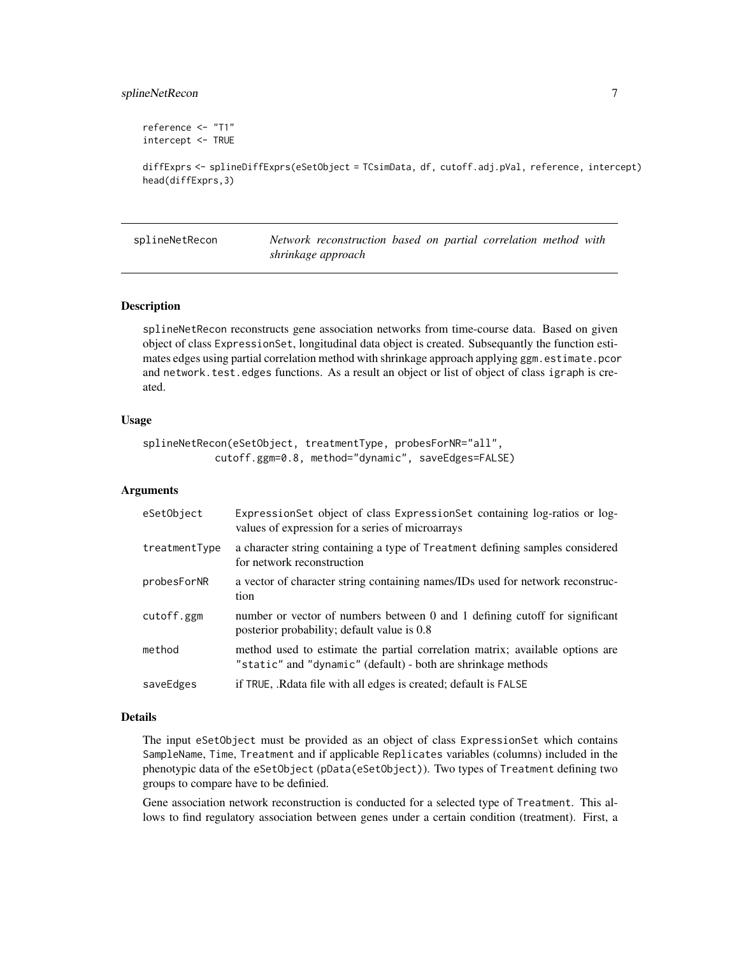# <span id="page-6-0"></span>splineNetRecon 7

```
reference <- "T1"
intercept <- TRUE
```

```
diffExprs <- splineDiffExprs(eSetObject = TCsimData, df, cutoff.adj.pVal, reference, intercept)
head(diffExprs,3)
```
splineNetRecon *Network reconstruction based on partial correlation method with shrinkage approach*

# **Description**

splineNetRecon reconstructs gene association networks from time-course data. Based on given object of class ExpressionSet, longitudinal data object is created. Subsequantly the function estimates edges using partial correlation method with shrinkage approach applying ggm. estimate.pcor and network.test.edges functions. As a result an object or list of object of class igraph is created.

# Usage

```
splineNetRecon(eSetObject, treatmentType, probesForNR="all",
            cutoff.ggm=0.8, method="dynamic", saveEdges=FALSE)
```
#### Arguments

| eSetObject    | Expression Set object of class Expression Set containing log-ratios or log-<br>values of expression for a series of microarrays                |
|---------------|------------------------------------------------------------------------------------------------------------------------------------------------|
| treatmentType | a character string containing a type of Treatment defining samples considered<br>for network reconstruction                                    |
| probesForNR   | a vector of character string containing names/IDs used for network reconstruc-<br>tion                                                         |
| cutoff.ggm    | number or vector of numbers between 0 and 1 defining cutoff for significant<br>posterior probability; default value is 0.8                     |
| method        | method used to estimate the partial correlation matrix; available options are<br>"static" and "dynamic" (default) - both are shrinkage methods |
| saveEdges     | if TRUE, Redata file with all edges is created; default is FALSE                                                                               |

#### Details

The input eSetObject must be provided as an object of class ExpressionSet which contains SampleName, Time, Treatment and if applicable Replicates variables (columns) included in the phenotypic data of the eSetObject (pData(eSetObject)). Two types of Treatment defining two groups to compare have to be definied.

Gene association network reconstruction is conducted for a selected type of Treatment. This allows to find regulatory association between genes under a certain condition (treatment). First, a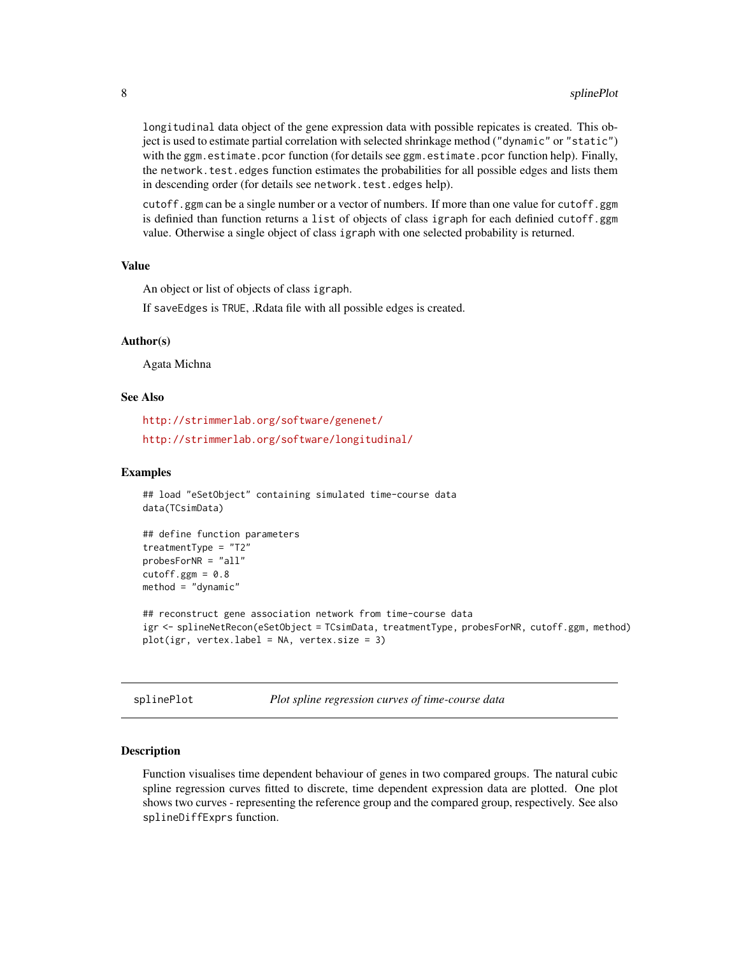<span id="page-7-0"></span>longitudinal data object of the gene expression data with possible repicates is created. This object is used to estimate partial correlation with selected shrinkage method ("dynamic" or "static") with the ggm.estimate.pcor function (for details see ggm.estimate.pcor function help). Finally, the network.test.edges function estimates the probabilities for all possible edges and lists them in descending order (for details see network.test.edges help).

cutoff.ggm can be a single number or a vector of numbers. If more than one value for cutoff.ggm is definied than function returns a list of objects of class igraph for each definied cutoff.ggm value. Otherwise a single object of class igraph with one selected probability is returned.

# Value

An object or list of objects of class igraph.

If saveEdges is TRUE, .Rdata file with all possible edges is created.

# Author(s)

Agata Michna

# See Also

<http://strimmerlab.org/software/genenet/> <http://strimmerlab.org/software/longitudinal/>

# Examples

```
## load "eSetObject" containing simulated time-course data
data(TCsimData)
## define function parameters
```

```
treatmentType = "T2"
probesForNR = "all"
cutoff.ggm = 0.8method = "dynamic"
```

```
## reconstruct gene association network from time-course data
igr <- splineNetRecon(eSetObject = TCsimData, treatmentType, probesForNR, cutoff.ggm, method)
plot(igr, vertex.label = NA, vertex.size = 3)
```
splinePlot *Plot spline regression curves of time-course data*

#### Description

Function visualises time dependent behaviour of genes in two compared groups. The natural cubic spline regression curves fitted to discrete, time dependent expression data are plotted. One plot shows two curves - representing the reference group and the compared group, respectively. See also splineDiffExprs function.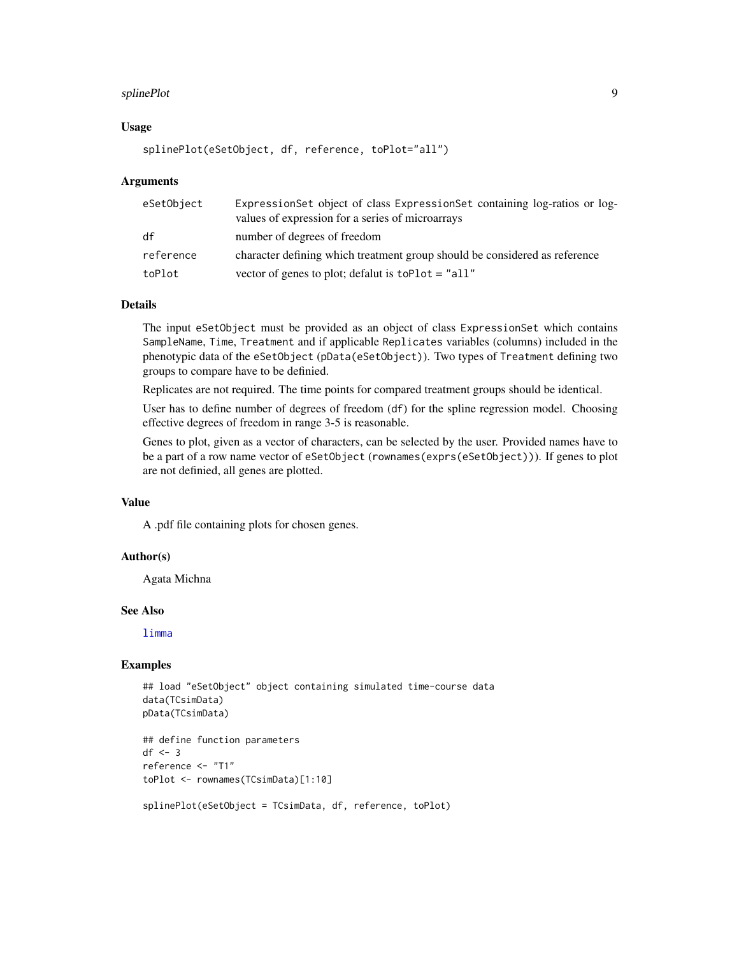#### <span id="page-8-0"></span>splinePlot 99

# Usage

```
splinePlot(eSetObject, df, reference, toPlot="all")
```
# **Arguments**

| eSetObject | ExpressionSet object of class ExpressionSet containing log-ratios or log-<br>values of expression for a series of microarrays |
|------------|-------------------------------------------------------------------------------------------------------------------------------|
| df         | number of degrees of freedom                                                                                                  |
| reference  | character defining which treatment group should be considered as reference                                                    |
| toPlot     | vector of genes to plot; defalut is $toPlot = "all"$                                                                          |

# Details

The input eSetObject must be provided as an object of class ExpressionSet which contains SampleName, Time, Treatment and if applicable Replicates variables (columns) included in the phenotypic data of the eSetObject (pData(eSetObject)). Two types of Treatment defining two groups to compare have to be definied.

Replicates are not required. The time points for compared treatment groups should be identical.

User has to define number of degrees of freedom (df) for the spline regression model. Choosing effective degrees of freedom in range 3-5 is reasonable.

Genes to plot, given as a vector of characters, can be selected by the user. Provided names have to be a part of a row name vector of eSetObject (rownames(exprs(eSetObject))). If genes to plot are not definied, all genes are plotted.

# Value

A .pdf file containing plots for chosen genes.

# Author(s)

Agata Michna

# See Also

[limma](#page-0-0)

# Examples

```
## load "eSetObject" object containing simulated time-course data
data(TCsimData)
pData(TCsimData)
```

```
## define function parameters
df \leftarrow 3reference <- "T1"
toPlot <- rownames(TCsimData)[1:10]
```

```
splinePlot(eSetObject = TCsimData, df, reference, toPlot)
```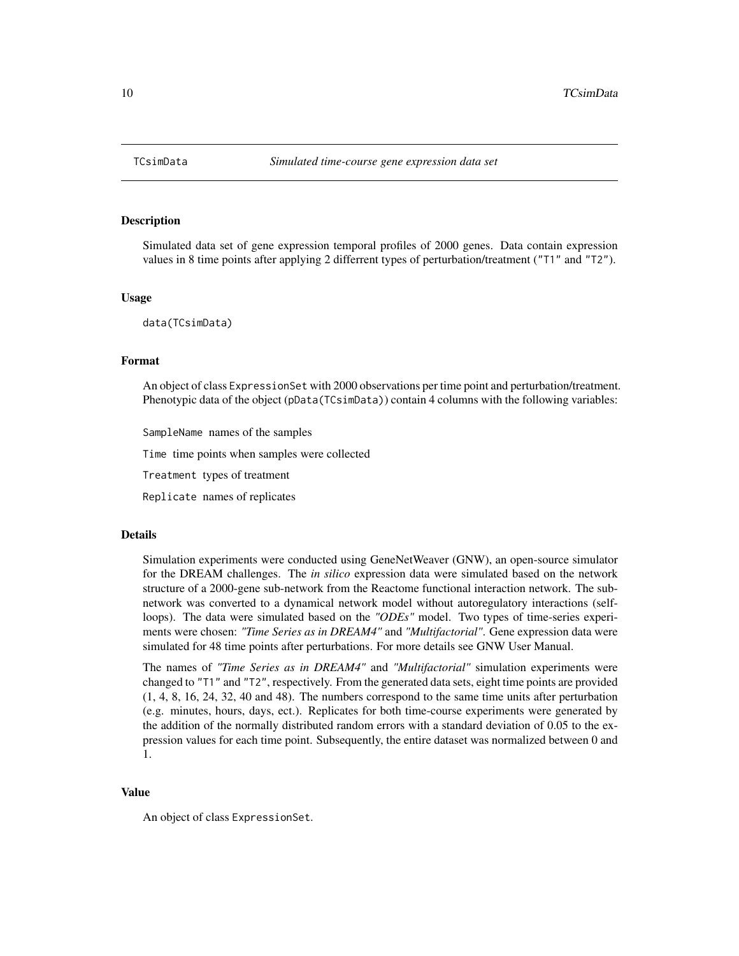<span id="page-9-0"></span>

# **Description**

Simulated data set of gene expression temporal profiles of 2000 genes. Data contain expression values in 8 time points after applying 2 differrent types of perturbation/treatment ("T1" and "T2").

# Usage

data(TCsimData)

#### Format

An object of class ExpressionSet with 2000 observations per time point and perturbation/treatment. Phenotypic data of the object (pData(TCsimData)) contain 4 columns with the following variables:

SampleName names of the samples

Time time points when samples were collected

Treatment types of treatment

Replicate names of replicates

# Details

Simulation experiments were conducted using GeneNetWeaver (GNW), an open-source simulator for the DREAM challenges. The *in silico* expression data were simulated based on the network structure of a 2000-gene sub-network from the Reactome functional interaction network. The subnetwork was converted to a dynamical network model without autoregulatory interactions (selfloops). The data were simulated based on the *"ODEs"* model. Two types of time-series experiments were chosen: *"Time Series as in DREAM4"* and *"Multifactorial"*. Gene expression data were simulated for 48 time points after perturbations. For more details see GNW User Manual.

The names of *"Time Series as in DREAM4"* and *"Multifactorial"* simulation experiments were changed to "T1" and "T2", respectively. From the generated data sets, eight time points are provided (1, 4, 8, 16, 24, 32, 40 and 48). The numbers correspond to the same time units after perturbation (e.g. minutes, hours, days, ect.). Replicates for both time-course experiments were generated by the addition of the normally distributed random errors with a standard deviation of 0.05 to the expression values for each time point. Subsequently, the entire dataset was normalized between 0 and 1.

# Value

An object of class ExpressionSet.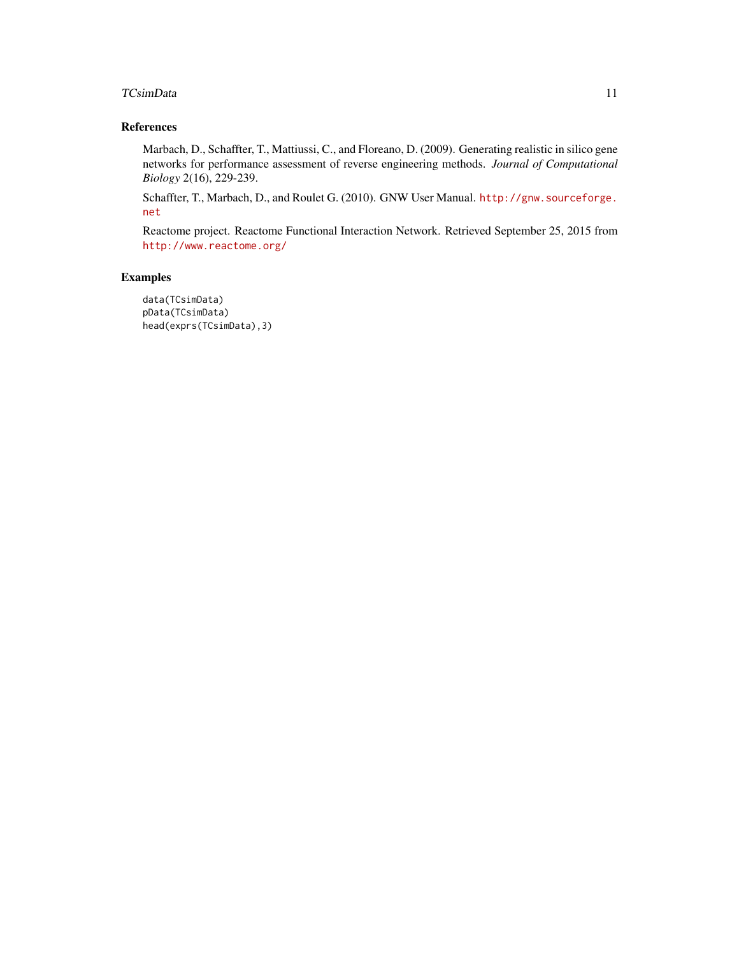# TCsimData 11

# References

Marbach, D., Schaffter, T., Mattiussi, C., and Floreano, D. (2009). Generating realistic in silico gene networks for performance assessment of reverse engineering methods. *Journal of Computational Biology* 2(16), 229-239.

Schaffter, T., Marbach, D., and Roulet G. (2010). GNW User Manual. [http://gnw.sourceforge.](http://gnw.sourceforge.net) [net](http://gnw.sourceforge.net)

Reactome project. Reactome Functional Interaction Network. Retrieved September 25, 2015 from <http://www.reactome.org/>

# Examples

```
data(TCsimData)
pData(TCsimData)
head(exprs(TCsimData),3)
```